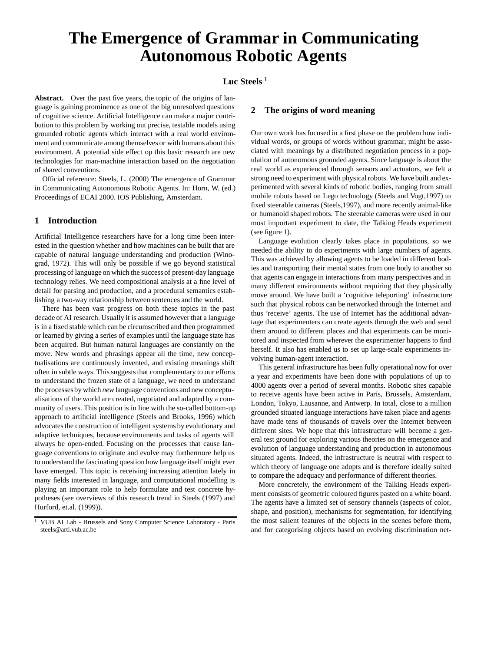# **The Emergence of Grammar in Communicating Autonomous Robotic Agents**

# Luc Steels<sup>1</sup>

**Abstract.** Over the past five years, the topic of the origins of language is gaining prominence as one of the big unresolved questions of cognitive science. Artificial Intelligence can make a major contribution to this problem by working out precise, testable models using grounded robotic agents which interact with a real world environment and communicate among themselves or with humans about this environment. A potential side effect op this basic research are new technologies for man-machine interaction based on the negotiation of shared conventions.

Official reference: Steels, L. (2000) The emergence of Grammar in Communicating Autonomous Robotic Agents. In: Horn, W. (ed.) Proceedings of ECAI 2000. IOS Publishing, Amsterdam.

## **1 Introduction**

Artificial Intelligence researchers have for a long time been interested in the question whether and how machines can be built that are capable of natural language understanding and production (Winograd, 1972). This will only be possible if we go beyond statistical processing of language on which the success of present-day language technology relies. We need compositional analysis at a fine level of detail for parsing and production, and a procedural semantics establishing a two-way relationship between sentences and the world.

There has been vast progress on both these topics in the past decade of AI research. Usually it is assumed however that a language is in a fixed stable which can be circumscribed and then programmed or learned by giving a series of examples until the language state has been acquired. But human natural languages are constantly on the move. New words and phrasings appear all the time, new conceptualisations are continuously invented, and existing meanings shift often in subtle ways. This suggests that complementary to our efforts to understand the frozen state of a language, we need to understand the processesby which *new* language conventions and new conceptualisations of the world are created, negotiated and adapted by a community of users. This position is in line with the so-called bottom-up approach to artificial intelligence (Steels and Brooks, 1996) which advocates the construction of intelligent systems by evolutionary and adaptive techniques, because environments and tasks of agents will always be open-ended. Focusing on the processes that cause language conventions to originate and evolve may furthermore help us to understand the fascinating question how language itself might ever have emerged. This topic is receiving increasing attention lately in many fields interested in language, and computational modelling is playing an important role to help formulate and test concrete hypotheses (see overviews of this research trend in Steels (1997) and Hurford, et.al. (1999)).

## **2 The origins of word meaning**

Our own work has focused in a first phase on the problem how individual words, or groups of words without grammar, might be associated with meanings by a distributed negotiation process in a population of autonomous grounded agents. Since language is about the real world as experienced through sensors and actuators, we felt a strong need to experiment with physical robots. We have built and experimented with several kinds of robotic bodies, ranging from small mobile robots based on Lego technology (Steels and Vogt,1997) to fixed steerable cameras (Steels,1997), and more recently animal-like or humanoid shaped robots. The steerable cameras were used in our most important experiment to date, the Talking Heads experiment (see figure 1).

Language evolution clearly takes place in populations, so we needed the ability to do experiments with large numbers of agents. This was achieved by allowing agents to be loaded in different bodies and transporting their mental states from one body to another so that agents can engage in interactions from many perspectives and in many different environments without requiring that they physically move around. We have built a 'cognitive teleporting' infrastructure such that physical robots can be networked through the Internet and thus 'receive' agents. The use of Internet has the additional advantage that experimenters can create agents through the web and send them around to different places and that experiments can be monitored and inspected from wherever the experimenter happens to find herself. It also has enabled us to set up large-scale experiments involving human-agent interaction.

This general infrastructure has been fully operational now for over a year and experiments have been done with populations of up to 4000 agents over a period of several months. Robotic sites capable to receive agents have been active in Paris, Brussels, Amsterdam, London, Tokyo, Lausanne, and Antwerp. In total, close to a million grounded situated language interactions have taken place and agents have made tens of thousands of travels over the Internet between different sites. We hope that this infrastructure will become a general test ground for exploring various theories on the emergence and evolution of language understanding and production in autonomous situated agents. Indeed, the infrastructure is neutral with respect to which theory of language one adopts and is therefore ideally suited to compare the adequacy and performance of different theories.

More concretely, the environment of the Talking Heads experiment consists of geometric coloured figures pasted on a white board. The agents have a limited set of sensory channels (aspects of color, shape, and position), mechanisms for segmentation, for identifying the most salient features of the objects in the scenes before them, and for categorising objects based on evolving discrimination net-

<sup>&</sup>lt;sup>1</sup> VUB AI Lab - Brussels and Sony Computer Science Laboratory - Paris steels@arti.vub.ac.be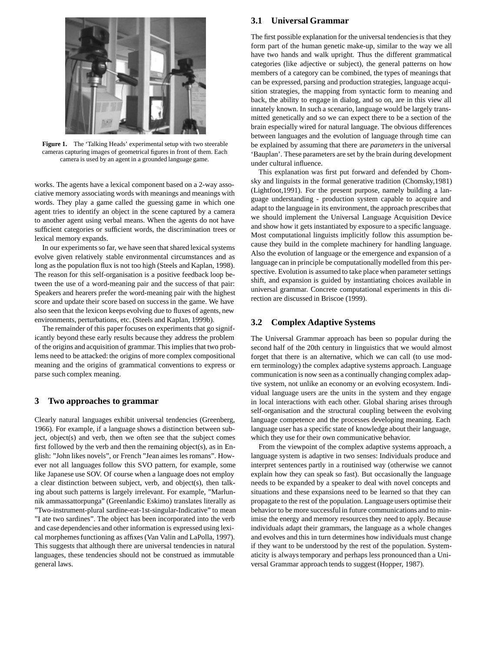

**Figure 1.** The 'Talking Heads' experimental setup with two steerable cameras capturing images of geometrical figures in front of them. Each camera is used by an agent in a grounded language game.

works. The agents have a lexical component based on a 2-way associative memory associating words with meanings and meanings with words. They play a game called the guessing game in which one agent tries to identify an object in the scene captured by a camera to another agent using verbal means. When the agents do not have sufficient categories or sufficient words, the discrimination trees or lexical memory expands.

In our experiments so far, we have seen that shared lexical systems evolve given relatively stable environmental circumstances and as long as the population flux is not too high (Steels and Kaplan, 1998). The reason for this self-organisation is a positive feedback loop between the use of a word-meaning pair and the success of that pair: Speakers and hearers prefer the word-meaning pair with the highest score and update their score based on success in the game. We have also seen that the lexicon keeps evolving due to fluxes of agents, new environments, perturbations, etc. (Steels and Kaplan, 1999b).

The remainder of this paper focuses on experiments that go significantly beyond these early results because they address the problem of the origins and acquisition of grammar. This implies that two problems need to be attacked: the origins of more complex compositional meaning and the origins of grammatical conventions to express or parse such complex meaning.

#### **3 Two approaches to grammar**

Clearly natural languages exhibit universal tendencies (Greenberg, 1966). For example, if a language shows a distinction between subject, object(s) and verb, then we often see that the subject comes first followed by the verb and then the remaining object(s), as in English: "John likes novels", or French "Jean aimes les romans". However not all languages follow this SVO pattern, for example, some like Japanese use SOV. Of course when a language does not employ a clear distinction between subject, verb, and object(s), then talking about such patterns is largely irrelevant. For example, "Marlunnik ammassattorpunga" (Greenlandic Eskimo) translates literally as "Two-instrument-plural sardine-eat-1st-singular-Indicative" to mean "I ate two sardines". The object has been incorporated into the verb and case dependencies and other information is expressed using lexical morphemes functioning as affixes (Van Valin and LaPolla, 1997). This suggests that although there are universal tendencies in natural languages, these tendencies should not be construed as immutable general laws.

## **3.1 Universal Grammar**

The first possible explanation for the universal tendencies is that they form part of the human genetic make-up, similar to the way we all have two hands and walk upright. Thus the different grammatical categories (like adjective or subject), the general patterns on how members of a category can be combined, the types of meanings that can be expressed, parsing and production strategies, language acquisition strategies, the mapping from syntactic form to meaning and back, the ability to engage in dialog, and so on, are in this view all innately known. In such a scenario, language would be largely transmitted genetically and so we can expect there to be a section of the brain especially wired for natural language. The obvious differences between languages and the evolution of language through time can be explained by assuming that there are *parameters* in the universal 'Bauplan'. These parameters are set by the brain during development under cultural influence.

This explanation was first put forward and defended by Chomsky and linguists in the formal generative tradition (Chomsky,1981) (Lightfoot,1991). For the present purpose, namely building a language understanding - production system capable to acquire and adapt to the language in its environment, the approach prescribes that we should implement the Universal Language Acquisition Device and show how it gets instantiated by exposure to a specific language. Most computational linguists implicitly follow this assumption because they build in the complete machinery for handling language. Also the evolution of language or the emergence and expansion of a language can in principle be computationally modelled from this perspective. Evolution is assumed to take place when parameter settings shift, and expansion is guided by instantiating choices available in universal grammar. Concrete computational experiments in this direction are discussed in Briscoe (1999).

# **3.2 Complex Adaptive Systems**

The Universal Grammar approach has been so popular during the second half of the 20th century in linguistics that we would almost forget that there is an alternative, which we can call (to use modern terminology) the complex adaptive systems approach. Language communication is now seen as a continually changing complex adaptive system, not unlike an economy or an evolving ecosystem. Individual language users are the units in the system and they engage in local interactions with each other. Global sharing arises through self-organisation and the structural coupling between the evolving language competence and the processes developing meaning. Each language user has a specific state of knowledge about their language, which they use for their own communicative behavior.

From the viewpoint of the complex adaptive systems approach, a language system is adaptive in two senses: Individuals produce and interpret sentences partly in a routinised way (otherwise we cannot explain how they can speak so fast). But occasionally the language needs to be expanded by a speaker to deal with novel concepts and situations and these expansions need to be learned so that they can propagate to the rest of the population. Language users optimise their behavior to be more successful in future communications and to minimise the energy and memory resources they need to apply. Because individuals adapt their grammars, the language as a whole changes and evolves and this in turn determines how individuals must change if they want to be understood by the rest of the population. Systematicity is always temporary and perhaps less pronounced than a Universal Grammar approach tends to suggest (Hopper, 1987).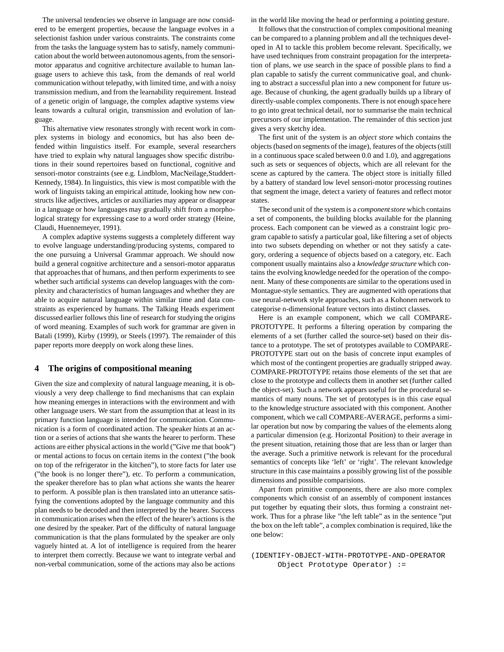The universal tendencies we observe in language are now considered to be emergent properties, because the language evolves in a selectionist fashion under various constraints. The constraints come from the tasks the language system has to satisfy, namely communication about the world between autonomous agents, from the sensorimotor apparatus and cognitive architecture available to human language users to achieve this task, from the demands of real world communication without telepathy, with limited time, and with a noisy transmission medium, and from the learnability requirement. Instead of a genetic origin of language, the complex adaptive systems view leans towards a cultural origin, transmission and evolution of language.

This alternative view resonates strongly with recent work in complex systems in biology and economics, but has also been defended within linguistics itself. For example, several researchers have tried to explain why natural languages show specific distributions in their sound repertoires based on functional, cognitive and sensori-motor constraints (see e.g. Lindblom, MacNeilage,Studdert-Kennedy, 1984). In linguistics, this view is most compatible with the work of linguists taking an empirical attitude, looking how new constructs like adjectives, articles or auxiliaries may appear or disappear in a language or how languages may gradually shift from a morphological strategy for expressing case to a word order strategy (Heine, Claudi, Huennemeyer, 1991).

A complex adaptive systems suggests a completely different way to evolve language understanding/producing systems, compared to the one pursuing a Universal Grammar approach. We should now build a general cognitive architecture and a sensori-motor apparatus that approaches that of humans, and then perform experiments to see whether such artificial systems can develop languages with the complexity and characteristics of human languages and whether they are able to acquire natural language within similar time and data constraints as experienced by humans. The Talking Heads experiment discussed earlier follows this line of research for studying the origins of word meaning. Examples of such work for grammar are given in Batali (1999), Kirby (1999), or Steels (1997). The remainder of this paper reports more deepply on work along these lines.

#### **4 The origins of compositional meaning**

Given the size and complexity of natural language meaning, it is obviously a very deep challenge to find mechanisms that can explain how meaning emerges in interactions with the environment and with other language users. We start from the assumption that at least in its primary function language is intended for communication. Communication is a form of coordinated action. The speaker hints at an action or a series of actions that she wants the hearer to perform. These actions are either physical actions in the world ("Give me that book") or mental actions to focus on certain items in the context ("the book on top of the refrigerator in the kitchen"), to store facts for later use ("the book is no longer there"), etc. To perform a communication, the speaker therefore has to plan what actions she wants the hearer to perform. A possible plan is then translated into an utterance satisfying the conventions adopted by the language community and this plan needs to be decoded and then interpreted by the hearer. Success in communication arises when the effect of the hearer's actions is the one desired by the speaker. Part of the difficulty of natural language communication is that the plans formulated by the speaker are only vaguely hinted at. A lot of intelligence is required from the hearer to interpret them correctly. Because we want to integrate verbal and non-verbal communication, some of the actions may also be actions

in the world like moving the head or performing a pointing gesture.

It follows that the construction of complex compositional meaning can be compared to a planning problem and all the techniques developed in AI to tackle this problem become relevant. Specifically, we have used techniques from constraint propagation for the interpretation of plans, we use search in the space of possible plans to find a plan capable to satisfy the current communicative goal, and chunking to abstract a successful plan into a new component for future usage. Because of chunking, the agent gradually builds up a library of directly-usable complex components. There is not enough space here to go into great technical detail, nor to summarise the main technical precursors of our implementation. The remainder of this section just gives a very sketchy idea.

The first unit of the system is an *object store* which contains the objects (based on segments of the image), features of the objects (still in a continuous space scaled between 0.0 and 1.0), and aggregations such as sets or sequences of objects, which are all relevant for the scene as captured by the camera. The object store is initially filled by a battery of standard low level sensori-motor processing routines that segment the image, detect a variety of features and reflect motor states.

The second unit of the system is a *component store* which contains a set of components, the building blocks available for the planning process. Each component can be viewed as a constraint logic program capable to satisfy a particular goal, like filtering a set of objects into two subsets depending on whether or not they satisfy a category, ordering a sequence of objects based on a category, etc. Each component usually maintains also a *knowledge structure* which contains the evolving knowledge needed for the operation of the component. Many of these components are similar to the operations used in Montague-style semantics. They are augmented with operations that use neural-network style approaches, such as a Kohonen network to categorise n-dimensional feature vectors into distinct classes.

Here is an example component, which we call COMPARE-PROTOTYPE. It performs a filtering operation by comparing the elements of a set (further called the source-set) based on their distance to a prototype. The set of prototypes available to COMPARE-PROTOTYPE start out on the basis of concrete input examples of which most of the contingent properties are gradually stripped away. COMPARE-PROTOTYPE retains those elements of the set that are close to the prototype and collects them in another set (further called the object-set). Such a network appears useful for the procedural semantics of many nouns. The set of prototypes is in this case equal to the knowledge structure associated with this component. Another component, which we call COMPARE-AVERAGE, performs a similar operation but now by comparing the values of the elements along a particular dimension (e.g. Horizontal Position) to their average in the present situation, retaining those that are less than or larger than the average. Such a primitive network is relevant for the procedural semantics of concepts like 'left' or 'right'. The relevant knowledge structure in this case maintains a possibly growing list of the possible dimensions and possible comparisions.

Apart from primitive components, there are also more complex components which consist of an assembly of component instances put together by equating their slots, thus forming a constraint network. Thus for a phrase like "the left table" as in the sentence "put the box on the left table", a complex combination is required, like the one below:

(IDENTIFY-OBJECT-WITH-PROTOTYPE-AND-OPERATOR Object Prototype Operator) :=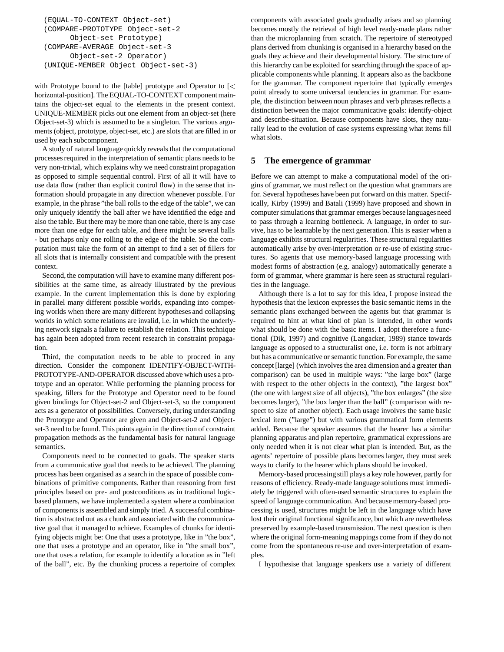```
(EQUAL-TO-CONTEXT Object-set)
(COMPARE-PROTOTYPE Object-set-2
      Object-set Prototype)
(COMPARE-AVERAGE Object-set-3
      Object-set-2 Operator)
(UNIQUE-MEMBER Object Object-set-3)
```
with Prototype bound to the [table] prototype and Operator to [<sup>&</sup>lt; horizontal-position]. The EQUAL-TO-CONTEXT component maintains the object-set equal to the elements in the present context. UNIQUE-MEMBER picks out one element from an object-set (here Object-set-3) which is assumed to be a singleton. The various arguments (object, prototype, object-set, etc.) are slots that are filled in or used by each subcomponent.

A study of natural language quickly reveals that the computational processes required in the interpretation of semantic plans needs to be very non-trivial, which explains why we need constraint propagation as opposed to simple sequential control. First of all it will have to use data flow (rather than explicit control flow) in the sense that information should propagate in any direction whenever possible. For example, in the phrase "the ball rolls to the edge of the table", we can only uniquely identify the ball after we have identified the edge and also the table. But there may be more than one table, there is any case more than one edge for each table, and there might be several balls - but perhaps only one rolling to the edge of the table. So the computation must take the form of an attempt to find a set of fillers for all slots that is internally consistent and compatible with the present context.

Second, the computation will have to examine many different possibilities at the same time, as already illustrated by the previous example. In the current implementation this is done by exploring in parallel many different possible worlds, expanding into competing worlds when there are many different hypotheses and collapsing worlds in which some relations are invalid, i.e. in which the underlying network signals a failure to establish the relation. This technique has again been adopted from recent research in constraint propagation.

Third, the computation needs to be able to proceed in any direction. Consider the component IDENTIFY-OBJECT-WITH-PROTOTYPE-AND-OPERATOR discussed above which uses a prototype and an operator. While performing the planning process for speaking, fillers for the Prototype and Operator need to be found given bindings for Object-set-2 and Object-set-3, so the component acts as a generator of possibilities. Conversely, during understanding the Prototype and Operator are given and Object-set-2 and Objectset-3 need to be found. This points again in the direction of constraint propagation methods as the fundamental basis for natural language semantics.

Components need to be connected to goals. The speaker starts from a communicative goal that needs to be achieved. The planning process has been organised as a search in the space of possible combinations of primitive components. Rather than reasoning from first principles based on pre- and postconditions as in traditional logicbased planners, we have implemented a system where a combination of components is assembled and simply tried. A successful combination is abstracted out as a chunk and associated with the communicative goal that it managed to achieve. Examples of chunks for identifying objects might be: One that uses a prototype, like in "the box", one that uses a prototype and an operator, like in "the small box", one that uses a relation, for example to identify a location as in "left of the ball", etc. By the chunking process a repertoire of complex

components with associated goals gradually arises and so planning becomes mostly the retrieval of high level ready-made plans rather than the microplanning from scratch. The repertoire of stereotyped plans derived from chunking is organised in a hierarchy based on the goals they achieve and their developmental history. The structure of this hierarchy can be exploited for searching through the space of applicable components while planning. It appears also as the backbone for the grammar. The component repertoire that typically emerges point already to some universal tendencies in grammar. For example, the distinction between noun phrases and verb phrases reflects a distinction between the major communicative goals: identify-object and describe-situation. Because components have slots, they naturally lead to the evolution of case systems expressing what items fill what slots.

## **5 The emergence of grammar**

Before we can attempt to make a computational model of the origins of grammar, we must reflect on the question what grammars are for. Several hypotheses have been put forward on this matter. Specifically, Kirby (1999) and Batali (1999) have proposed and shown in computer simulations that grammar emerges because languages need to pass through a learning bottleneck. A language, in order to survive, has to be learnable by the next generation. This is easier when a language exhibits structural regularities. These structural regularities automatically arise by over-interpretation or re-use of existing structures. So agents that use memory-based language processing with modest forms of abstraction (e.g. analogy) automatically generate a form of grammar, where grammar is here seen as structural regularities in the language.

Although there is a lot to say for this idea, I propose instead the hypothesis that the lexicon expresses the basic semantic items in the semantic plans exchanged between the agents but that grammar is required to hint at what kind of plan is intended, in other words what should be done with the basic items. I adopt therefore a functional (Dik, 1997) and cognitive (Langacker, 1989) stance towards language as opposed to a structuralist one, i.e. form is not arbitrary but has a communicative or semantic function. For example, the same concept [large] (which involves the area dimension and a greater than comparison) can be used in multiple ways: "the large box" (large with respect to the other objects in the context), "the largest box" (the one with largest size of all objects), "the box enlarges" (the size becomes larger), "the box larger than the ball" (comparison with respect to size of another object). Each usage involves the same basic lexical item ("large") but with various grammatical form elements added. Because the speaker assumes that the hearer has a similar planning apparatus and plan repertoire, grammatical expressions are only needed when it is not clear what plan is intended. But, as the agents' repertoire of possible plans becomes larger, they must seek ways to clarify to the hearer which plans should be invoked.

Memory-based processing still plays a key role however, partly for reasons of efficiency. Ready-made language solutions must immediately be triggered with often-used semantic structures to explain the speed of language communication. And because memory-based processing is used, structures might be left in the language which have lost their original functional significance, but which are nevertheless preserved by example-based transmission. The next question is then where the original form-meaning mappings come from if they do not come from the spontaneous re-use and over-interpretation of examples.

I hypothesise that language speakers use a variety of different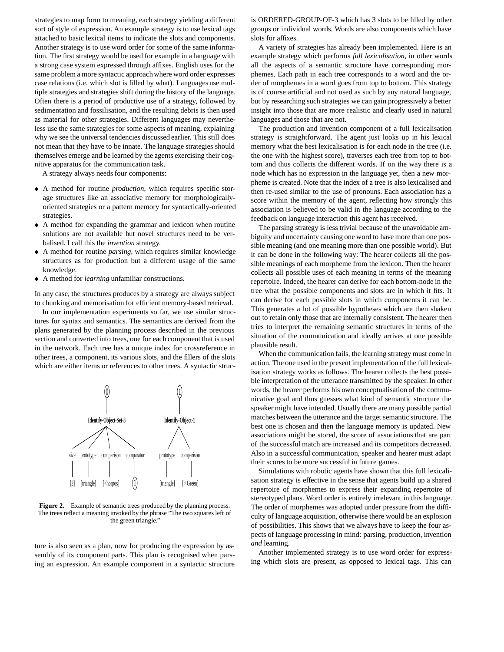strategies to map form to meaning, each strategy yielding a different sort of style of expression. An example strategy is to use lexical tags attached to basic lexical items to indicate the slots and components. Another strategy is to use word order for some of the same information. The first strategy would be used for example in a language with a strong case system expressed through affixes. English uses for the same problem a more syntactic approach where word order expresses case relations (i.e. which slot is filled by what). Languages use multiple strategies and strategies shift during the history of the language. Often there is a period of productive use of a strategy, followed by sedimentation and fossilisation, and the resulting debris is then used as material for other strategies. Different languages may nevertheless use the same strategies for some aspects of meaning, explaining why we see the universal tendencies discussed earlier. This still does not mean that they have to be innate. The language strategies should themselves emerge and be learned by the agents exercising their cognitive apparatus for the communication task.

A strategy always needs four components:

- A method for routine *production*, which requires specific storage structures like an associative memory for morphologicallyoriented strategies or a pattern memory for syntactically-oriented strategies.
- A method for expanding the grammar and lexicon when routine solutions are not available but novel structures need to be verbalised. I call this the *invention* strategy.
- A method for routine *parsing*, which requires similar knowledge structures as for production but a different usage of the same knowledge.
- A method for *learning* unfamiliar constructions.

In any case, the structures produces by a strategy are always subject to chunking and memorisation for efficient memory-based retrieval.

In our implementation experiments so far, we use similar structures for syntax and semantics. The semantics are derived from the plans generated by the planning process described in the previous section and converted into trees, one for each component that is used in the network. Each tree has a unique index for crossreference in other trees, a component, its various slots, and the fillers of the slots which are either items or references to other trees. A syntactic struc-



Figure 2. Example of semantic trees produced by the planning process. The trees reflect a meaning invoked by the phrase "The two squares left of the green triangle."

ture is also seen as a plan, now for producing the expression by assembly of its component parts. This plan is recognised when parsing an expression. An example component in a syntactic structure is ORDERED-GROUP-OF-3 which has 3 slots to be filled by other groups or individual words. Words are also components which have slots for affixes.

A variety of strategies has already been implemented. Here is an example strategy which performs *full lexicalisation*, in other words all the aspects of a semantic structure have corresponding morphemes. Each path in each tree corresponds to a word and the order of morphemes in a word goes from top to bottom. This strategy is of course artificial and not used as such by any natural language, but by researching such strategies we can gain progressively a better insight into those that are more realistic and clearly used in natural languages and those that are not.

The production and invention component of a full lexicalisation strategy is straightforward. The agent just looks up in his lexical memory what the best lexicalisation is for each node in the tree (i.e. the one with the highest score), traverses each tree from top to bottom and thus collects the different words. If on the way there is a node which has no expression in the language yet, then a new morpheme is created. Note that the index of a tree is also lexicalised and then re-used similar to the use of pronouns. Each association has a score within the memory of the agent, reflecting how strongly this association is believed to be valid in the language according to the feedback on language interaction this agent has received.

The parsing strategy is less trivial because of the unavoidable ambiguity and uncertainty causing one word to have more than one possible meaning (and one meaning more than one possible world). But it can be done in the following way: The hearer collects all the possible meanings of each morpheme from the lexicon. Then the hearer collects all possible uses of each meaning in terms of the meaning repertoire. Indeed, the hearer can derive for each bottom-node in the tree what the possible components and slots are in which it fits. It can derive for each possible slots in which components it can be. This generates a lot of possible hypotheses which are then shaken out to retain only those that are internally consistent. The hearer then tries to interpret the remaining semantic structures in terms of the situation of the communication and ideally arrives at one possible plausible result.

When the communication fails, the learning strategy must come in action. The one used in the present implementation of the full lexicalisation strategy works as follows. The hearer collects the best possible interpretation of the utterance transmitted by the speaker. In other words, the hearer performs his own conceptualisation of the communicative goal and thus guesses what kind of semantic structure the speaker might have intended. Usually there are many possible partial matches between the utterance and the target semantic structure. The best one is chosen and then the language memory is updated. New associations might be stored, the score of associations that are part of the successful match are increased and its competitors decreased. Also in a successful communication, speaker and hearer must adapt their scores to be more successful in future games.

Simulations with robotic agents have shown that this full lexicalisation strategy is effective in the sense that agents build up a shared repertoire of morphemes to express their expanding repertoire of stereotyped plans. Word order is entirely irrelevant in this language. The order of morphemes was adopted under pressure from the difficulty of language acquisition, otherwise there would be an explosion of possibilities. This shows that we always have to keep the four aspects of language processing in mind: parsing, production, invention *and* learning.

Another implemented strategy is to use word order for expressing which slots are present, as opposed to lexical tags. This can